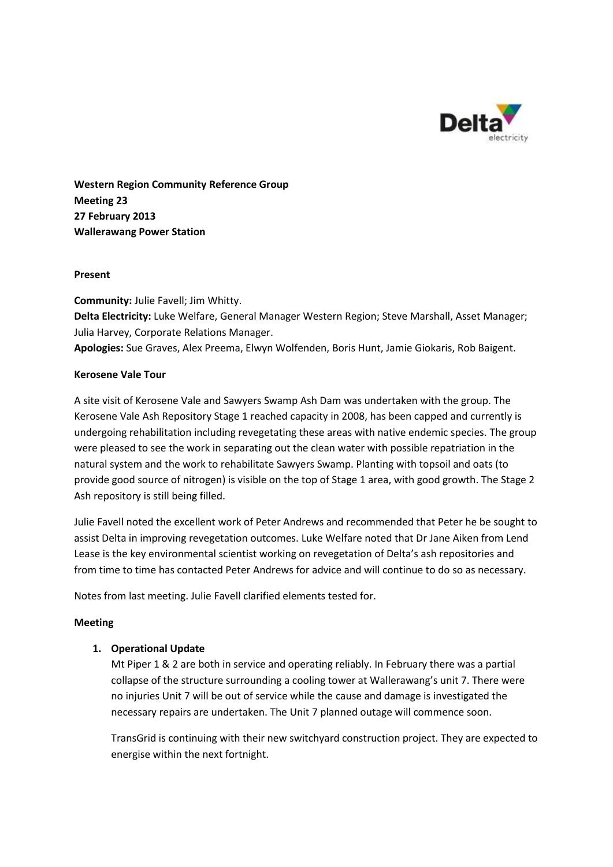

**Western Region Community Reference Group Meeting 23 27 February 2013 Wallerawang Power Station**

## **Present**

**Community:** Julie Favell; Jim Whitty. **Delta Electricity:** Luke Welfare, General Manager Western Region; Steve Marshall, Asset Manager; Julia Harvey, Corporate Relations Manager.

**Apologies:** Sue Graves, Alex Preema, Elwyn Wolfenden, Boris Hunt, Jamie Giokaris, Rob Baigent.

## **Kerosene Vale Tour**

A site visit of Kerosene Vale and Sawyers Swamp Ash Dam was undertaken with the group. The Kerosene Vale Ash Repository Stage 1 reached capacity in 2008, has been capped and currently is undergoing rehabilitation including revegetating these areas with native endemic species. The group were pleased to see the work in separating out the clean water with possible repatriation in the natural system and the work to rehabilitate Sawyers Swamp. Planting with topsoil and oats (to provide good source of nitrogen) is visible on the top of Stage 1 area, with good growth. The Stage 2 Ash repository is still being filled.

Julie Favell noted the excellent work of Peter Andrews and recommended that Peter he be sought to assist Delta in improving revegetation outcomes. Luke Welfare noted that Dr Jane Aiken from Lend Lease is the key environmental scientist working on revegetation of Delta's ash repositories and from time to time has contacted Peter Andrews for advice and will continue to do so as necessary.

Notes from last meeting. Julie Favell clarified elements tested for.

# **Meeting**

# **1. Operational Update**

Mt Piper 1 & 2 are both in service and operating reliably. In February there was a partial collapse of the structure surrounding a cooling tower at Wallerawang's unit 7. There were no injuries Unit 7 will be out of service while the cause and damage is investigated the necessary repairs are undertaken. The Unit 7 planned outage will commence soon.

TransGrid is continuing with their new switchyard construction project. They are expected to energise within the next fortnight.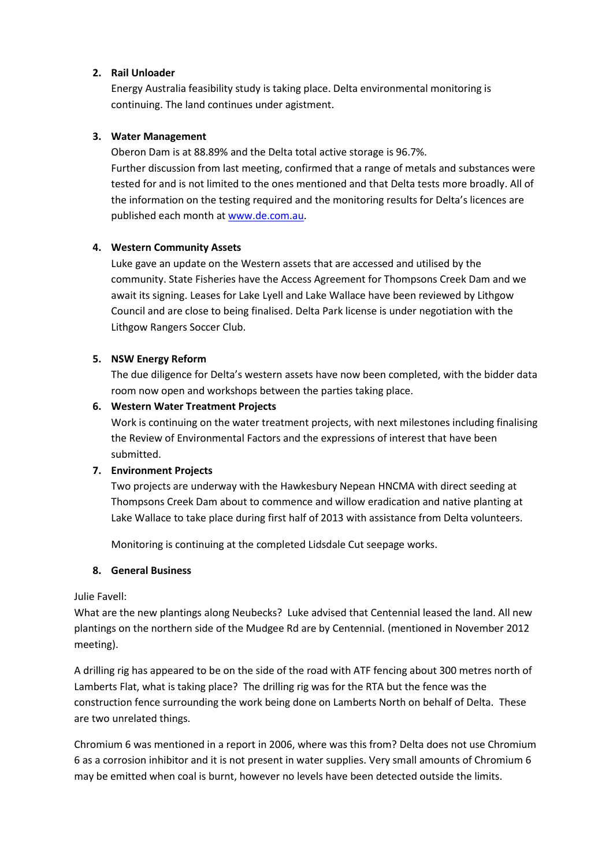# **2. Rail Unloader**

Energy Australia feasibility study is taking place. Delta environmental monitoring is continuing. The land continues under agistment.

#### **3. Water Management**

Oberon Dam is at 88.89% and the Delta total active storage is 96.7%. Further discussion from last meeting, confirmed that a range of metals and substances were tested for and is not limited to the ones mentioned and that Delta tests more broadly. All of the information on the testing required and the monitoring results for Delta's licences are published each month a[t www.de.com.au.](http://www.de.com.au/)

## **4. Western Community Assets**

Luke gave an update on the Western assets that are accessed and utilised by the community. State Fisheries have the Access Agreement for Thompsons Creek Dam and we await its signing. Leases for Lake Lyell and Lake Wallace have been reviewed by Lithgow Council and are close to being finalised. Delta Park license is under negotiation with the Lithgow Rangers Soccer Club.

## **5. NSW Energy Reform**

The due diligence for Delta's western assets have now been completed, with the bidder data room now open and workshops between the parties taking place.

## **6. Western Water Treatment Projects**

Work is continuing on the water treatment projects, with next milestones including finalising the Review of Environmental Factors and the expressions of interest that have been submitted.

#### **7. Environment Projects**

Two projects are underway with the Hawkesbury Nepean HNCMA with direct seeding at Thompsons Creek Dam about to commence and willow eradication and native planting at Lake Wallace to take place during first half of 2013 with assistance from Delta volunteers.

Monitoring is continuing at the completed Lidsdale Cut seepage works.

#### **8. General Business**

#### Julie Favell:

What are the new plantings along Neubecks? Luke advised that Centennial leased the land. All new plantings on the northern side of the Mudgee Rd are by Centennial. (mentioned in November 2012 meeting).

A drilling rig has appeared to be on the side of the road with ATF fencing about 300 metres north of Lamberts Flat, what is taking place? The drilling rig was for the RTA but the fence was the construction fence surrounding the work being done on Lamberts North on behalf of Delta. These are two unrelated things.

Chromium 6 was mentioned in a report in 2006, where was this from? Delta does not use Chromium 6 as a corrosion inhibitor and it is not present in water supplies. Very small amounts of Chromium 6 may be emitted when coal is burnt, however no levels have been detected outside the limits.